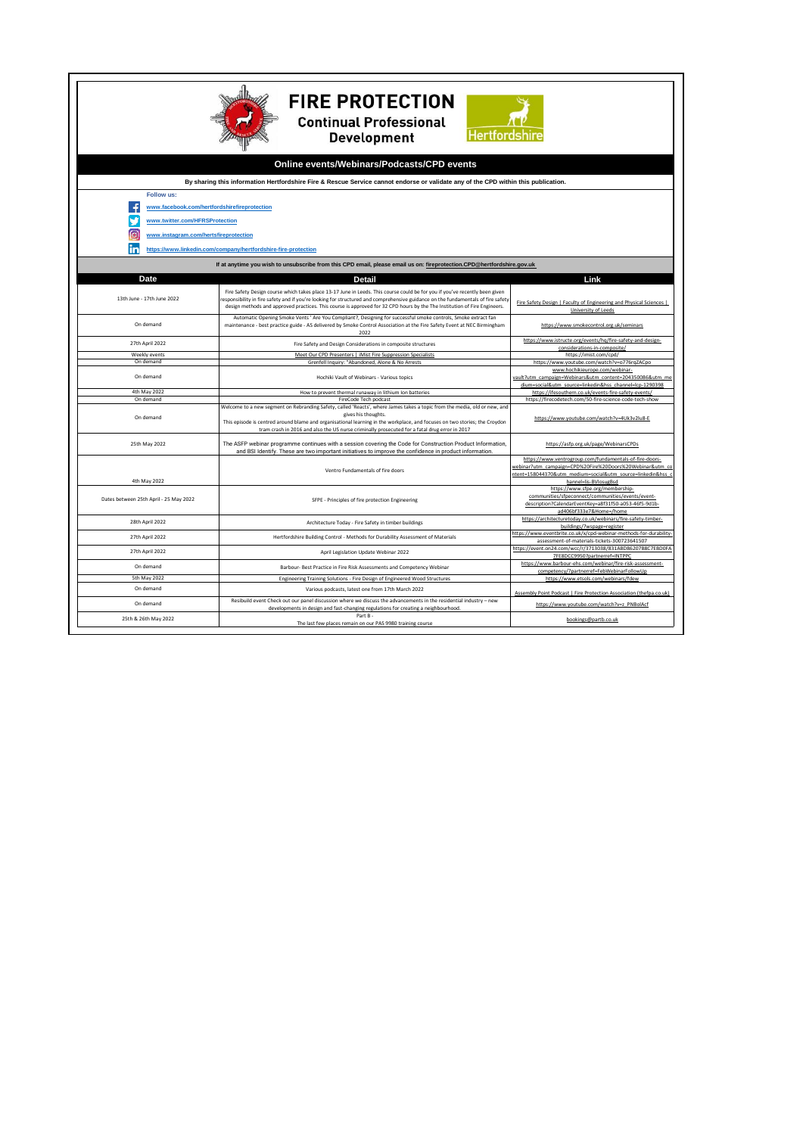| <b>FIRE PROTECTION</b><br><b>Continual Professional</b><br>Hertfordshi<br><b>Development</b><br>Online events/Webinars/Podcasts/CPD events |                                                                                |                                                                                                                                                                                                                                                                                                                                                                                             |                                                                                                                                                                                                      |  |  |
|--------------------------------------------------------------------------------------------------------------------------------------------|--------------------------------------------------------------------------------|---------------------------------------------------------------------------------------------------------------------------------------------------------------------------------------------------------------------------------------------------------------------------------------------------------------------------------------------------------------------------------------------|------------------------------------------------------------------------------------------------------------------------------------------------------------------------------------------------------|--|--|
| By sharing this information Hertfordshire Fire & Rescue Service cannot endorse or validate any of the CPD within this publication.         |                                                                                |                                                                                                                                                                                                                                                                                                                                                                                             |                                                                                                                                                                                                      |  |  |
|                                                                                                                                            | <b>Follow us:</b>                                                              |                                                                                                                                                                                                                                                                                                                                                                                             |                                                                                                                                                                                                      |  |  |
|                                                                                                                                            | www.facebook.com/hertfordshirefireprotection<br>www.twitter.com/HFRSProtection |                                                                                                                                                                                                                                                                                                                                                                                             |                                                                                                                                                                                                      |  |  |
| ſo                                                                                                                                         | www.instagram.com/hertsfireprotection                                          |                                                                                                                                                                                                                                                                                                                                                                                             |                                                                                                                                                                                                      |  |  |
| m                                                                                                                                          | https://www.linkedin.com/company/hertfordshire-fire-protection                 |                                                                                                                                                                                                                                                                                                                                                                                             |                                                                                                                                                                                                      |  |  |
| If at anytime you wish to unsubscribe from this CPD email, please email us on: fireprotection.CPD@hertfordshire.gov.uk                     |                                                                                |                                                                                                                                                                                                                                                                                                                                                                                             |                                                                                                                                                                                                      |  |  |
| Date<br>Link<br>Detail                                                                                                                     |                                                                                |                                                                                                                                                                                                                                                                                                                                                                                             |                                                                                                                                                                                                      |  |  |
|                                                                                                                                            | 13th June - 17th June 2022                                                     | Fire Safety Design course which takes place 13-17 June in Leeds. This course could be for you if you've recently been given<br>esponsibility in fire safety and if you're looking for structured and comprehensive guidance on the fundamentals of fire safety<br>design methods and approved practices. This course is approved for 32 CPD hours by the The Institution of Fire Engineers. | Fire Safety Design   Faculty of Engineering and Physical Sciences  <br>University of Leeds                                                                                                           |  |  |
| On demand                                                                                                                                  |                                                                                | Automatic Opening Smoke Vents ' Are You Compliant?, Designing for successful smoke controls, Smoke extract fan<br>maintenance - best practice guide - AS delivered by Smoke Control Association at the Fire Safety Event at NEC Birmingham<br>2022                                                                                                                                          | https://www.smokecontrol.org.uk/seminars                                                                                                                                                             |  |  |
| 27th April 2022                                                                                                                            |                                                                                | Fire Safety and Design Considerations in composite structures                                                                                                                                                                                                                                                                                                                               | https://www.istructe.org/events/hq/fire-safety-and-design-<br>considerations-in-composite/                                                                                                           |  |  |
| Weekly events                                                                                                                              |                                                                                | Meet Our CPD Presenters   iMist Fire Suppression Specialists                                                                                                                                                                                                                                                                                                                                | https://imist.com/cpd/                                                                                                                                                                               |  |  |
| On demand<br>On demand                                                                                                                     |                                                                                | Grenfell Inquiry: "Abandoned, Alone & No Arrests<br>Hochiki Vault of Webinars - Various topics                                                                                                                                                                                                                                                                                              | https://www.youtube.com/watch?v=o776rqZACpo<br>www.hochikieurope.com/webinar-<br>vault?utm_campaign=Webinars&utm_content=204350086&utm_me<br>dium=social&utm_source=linkedin&hss_channel=lcp-1290398 |  |  |
| 4th May 2022                                                                                                                               |                                                                                | How to prevent thermal runaway in lithium Ion batteries                                                                                                                                                                                                                                                                                                                                     | https://ifesouthern.co.uk/events-fire-safety-events/                                                                                                                                                 |  |  |
| On demand<br>On demand                                                                                                                     |                                                                                | FireCode Tech podcast<br>Welcome to a new segment on Rebranding Safety, called 'Reacts', where James takes a topic from the media, old or new, and<br>gives his thoughts.                                                                                                                                                                                                                   | https://firecodetech.com/50-fire-science-code-tech-show<br>https://www.youtube.com/watch?v=4Uk3v2lu8-E                                                                                               |  |  |
|                                                                                                                                            |                                                                                | This episode is centred around blame and organisational learning in the workplace, and focuses on two stories; the Croydon<br>tram crash in 2016 and also the US nurse criminally prosecuted for a fatal drug error in 2017                                                                                                                                                                 |                                                                                                                                                                                                      |  |  |
|                                                                                                                                            | 25th May 2022                                                                  | The ASFP webinar programme continues with a session covering the Code for Construction Product Information,<br>and BSI Identify. These are two important initiatives to improve the confidence in product information                                                                                                                                                                       | https://asfp.org.uk/page/WebinarsCPDs                                                                                                                                                                |  |  |
|                                                                                                                                            |                                                                                | Ventro Fundamentals of fire doors                                                                                                                                                                                                                                                                                                                                                           | https://www.ventrogroup.com/fundamentals-of-fire-doors-<br>webinar?utm_campaign=CPD%20Fire%20Doors%20Webinar&utm_co<br>ntent=158044370&utm_medium=social&utm_source=linkedin&hss                     |  |  |
|                                                                                                                                            | 4th May 2022<br>Dates between 25th April - 25 May 2022                         | SFPE - Principles of fire protection Engineering                                                                                                                                                                                                                                                                                                                                            | hannel=lis-BVlosugBsd<br>https://www.sfpe.org/membership-<br>communities/sfpeconnect/communities/events/event-<br>description?CalendarEventKey=a8f31f50-a053-46f5-9d1b-                              |  |  |
|                                                                                                                                            | 28th April 2022                                                                | Architecture Today - Fire Safety in timber buildings                                                                                                                                                                                                                                                                                                                                        | ad406bf333e7&Home=/home<br>https://architecturetoday.co.uk/webinars/fire-safety-timber-<br>buildings/?wspage=register                                                                                |  |  |
|                                                                                                                                            | 27th April 2022                                                                | Hertfordshire Building Control - Methods for Durability Assessment of Materials                                                                                                                                                                                                                                                                                                             | https://www.eventbrite.co.uk/x/cpd-webinar-methods-for-durability<br>assessment-of-materials-tickets-300723641507                                                                                    |  |  |
|                                                                                                                                            | 27th April 2022                                                                | April Legislation Update Webinar 2022                                                                                                                                                                                                                                                                                                                                                       | https://event.on24.com/wcc/r/3713038/831ABD86207B8C7EBD0FA<br>7FE8DCC9950?partnerref=INTPPC                                                                                                          |  |  |
|                                                                                                                                            | On demand                                                                      | Barbour- Best Practice in Fire Risk Assessments and Competency Webinar                                                                                                                                                                                                                                                                                                                      | https://www.barbour-ehs.com/webinar/fire-risk-assessment-                                                                                                                                            |  |  |
|                                                                                                                                            | 5th May 2022                                                                   | Engineering Training Solutions - Fire Design of Engineered Wood Structures                                                                                                                                                                                                                                                                                                                  | competency/?partnerref=FebWebinarFollowUp<br>https://www.etsols.com/webinars/fdew                                                                                                                    |  |  |
|                                                                                                                                            | On demand                                                                      | Various podcasts, latest one from 17th March 2022                                                                                                                                                                                                                                                                                                                                           | Assembly Point Podcast   Fire Protection Association (thefpa.co.uk)                                                                                                                                  |  |  |
|                                                                                                                                            | On demand                                                                      | Resibuild event Check out our panel discussion where we discuss the advancements in the residential industry - new<br>developments in design and fast-changing regulations for creating a neighbourhood.<br>Part B-                                                                                                                                                                         | https://www.youtube.com/watch?v=z_PNBolAcf                                                                                                                                                           |  |  |